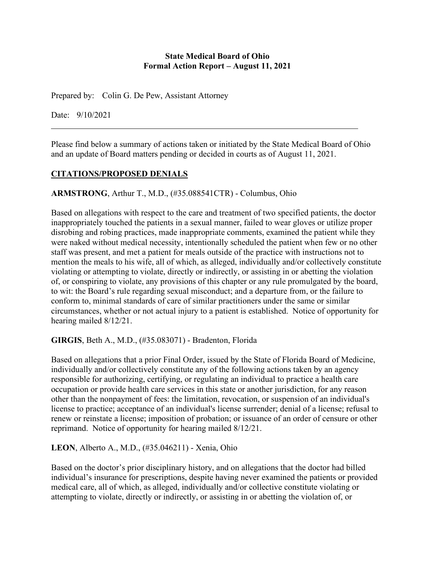#### **State Medical Board of Ohio Formal Action Report – August 11, 2021**

Prepared by: Colin G. De Pew, Assistant Attorney

Date: 9/10/2021

Please find below a summary of actions taken or initiated by the State Medical Board of Ohio and an update of Board matters pending or decided in courts as of August 11, 2021.

# **CITATIONS/PROPOSED DENIALS**

### **ARMSTRONG**, Arthur T., M.D., (#35.088541CTR) - Columbus, Ohio

Based on allegations with respect to the care and treatment of two specified patients, the doctor inappropriately touched the patients in a sexual manner, failed to wear gloves or utilize proper disrobing and robing practices, made inappropriate comments, examined the patient while they were naked without medical necessity, intentionally scheduled the patient when few or no other staff was present, and met a patient for meals outside of the practice with instructions not to mention the meals to his wife, all of which, as alleged, individually and/or collectively constitute violating or attempting to violate, directly or indirectly, or assisting in or abetting the violation of, or conspiring to violate, any provisions of this chapter or any rule promulgated by the board, to wit: the Board's rule regarding sexual misconduct; and a departure from, or the failure to conform to, minimal standards of care of similar practitioners under the same or similar circumstances, whether or not actual injury to a patient is established. Notice of opportunity for hearing mailed 8/12/21.

**GIRGIS**, Beth A., M.D., (#35.083071) - Bradenton, Florida

Based on allegations that a prior Final Order, issued by the State of Florida Board of Medicine, individually and/or collectively constitute any of the following actions taken by an agency responsible for authorizing, certifying, or regulating an individual to practice a health care occupation or provide health care services in this state or another jurisdiction, for any reason other than the nonpayment of fees: the limitation, revocation, or suspension of an individual's license to practice; acceptance of an individual's license surrender; denial of a license; refusal to renew or reinstate a license; imposition of probation; or issuance of an order of censure or other reprimand. Notice of opportunity for hearing mailed 8/12/21.

**LEON**, Alberto A., M.D., (#35.046211) - Xenia, Ohio

Based on the doctor's prior disciplinary history, and on allegations that the doctor had billed individual's insurance for prescriptions, despite having never examined the patients or provided medical care, all of which, as alleged, individually and/or collective constitute violating or attempting to violate, directly or indirectly, or assisting in or abetting the violation of, or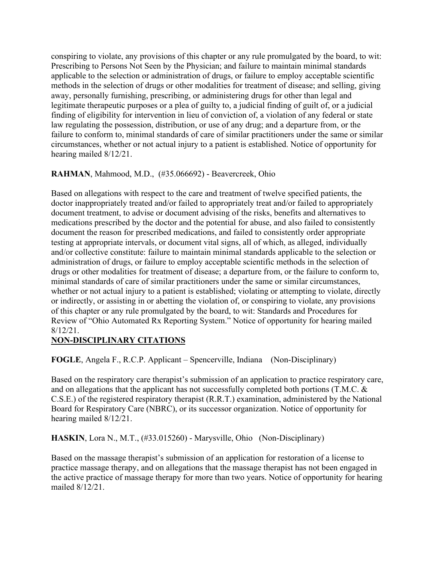conspiring to violate, any provisions of this chapter or any rule promulgated by the board, to wit: Prescribing to Persons Not Seen by the Physician; and failure to maintain minimal standards applicable to the selection or administration of drugs, or failure to employ acceptable scientific methods in the selection of drugs or other modalities for treatment of disease; and selling, giving away, personally furnishing, prescribing, or administering drugs for other than legal and legitimate therapeutic purposes or a plea of guilty to, a judicial finding of guilt of, or a judicial finding of eligibility for intervention in lieu of conviction of, a violation of any federal or state law regulating the possession, distribution, or use of any drug; and a departure from, or the failure to conform to, minimal standards of care of similar practitioners under the same or similar circumstances, whether or not actual injury to a patient is established. Notice of opportunity for hearing mailed 8/12/21.

## **RAHMAN**, Mahmood, M.D., (#35.066692) - Beavercreek, Ohio

Based on allegations with respect to the care and treatment of twelve specified patients, the doctor inappropriately treated and/or failed to appropriately treat and/or failed to appropriately document treatment, to advise or document advising of the risks, benefits and alternatives to medications prescribed by the doctor and the potential for abuse, and also failed to consistently document the reason for prescribed medications, and failed to consistently order appropriate testing at appropriate intervals, or document vital signs, all of which, as alleged, individually and/or collective constitute: failure to maintain minimal standards applicable to the selection or administration of drugs, or failure to employ acceptable scientific methods in the selection of drugs or other modalities for treatment of disease; a departure from, or the failure to conform to, minimal standards of care of similar practitioners under the same or similar circumstances, whether or not actual injury to a patient is established; violating or attempting to violate, directly or indirectly, or assisting in or abetting the violation of, or conspiring to violate, any provisions of this chapter or any rule promulgated by the board, to wit: Standards and Procedures for Review of "Ohio Automated Rx Reporting System." Notice of opportunity for hearing mailed 8/12/21.

### **NON-DISCIPLINARY CITATIONS**

**FOGLE**, Angela F., R.C.P. Applicant – Spencerville, Indiana (Non-Disciplinary)

Based on the respiratory care therapist's submission of an application to practice respiratory care, and on allegations that the applicant has not successfully completed both portions (T.M.C. & C.S.E.) of the registered respiratory therapist (R.R.T.) examination, administered by the National Board for Respiratory Care (NBRC), or its successor organization. Notice of opportunity for hearing mailed 8/12/21.

**HASKIN**, Lora N., M.T., (#33.015260) - Marysville, Ohio (Non-Disciplinary)

Based on the massage therapist's submission of an application for restoration of a license to practice massage therapy, and on allegations that the massage therapist has not been engaged in the active practice of massage therapy for more than two years. Notice of opportunity for hearing mailed 8/12/21.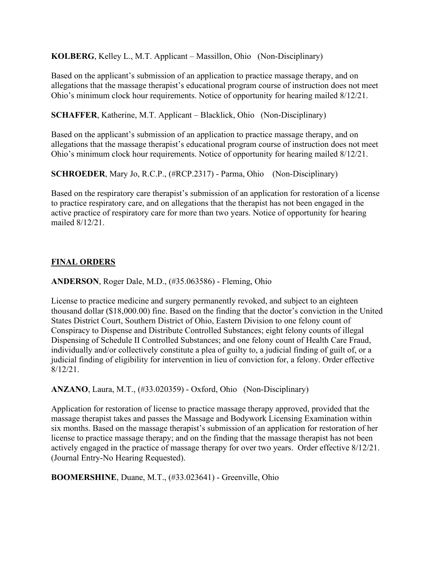**KOLBERG**, Kelley L., M.T. Applicant – Massillon, Ohio (Non-Disciplinary)

Based on the applicant's submission of an application to practice massage therapy, and on allegations that the massage therapist's educational program course of instruction does not meet Ohio's minimum clock hour requirements. Notice of opportunity for hearing mailed 8/12/21.

**SCHAFFER**, Katherine, M.T. Applicant – Blacklick, Ohio (Non-Disciplinary)

Based on the applicant's submission of an application to practice massage therapy, and on allegations that the massage therapist's educational program course of instruction does not meet Ohio's minimum clock hour requirements. Notice of opportunity for hearing mailed 8/12/21.

**SCHROEDER**, Mary Jo, R.C.P., (#RCP.2317) - Parma, Ohio (Non-Disciplinary)

Based on the respiratory care therapist's submission of an application for restoration of a license to practice respiratory care, and on allegations that the therapist has not been engaged in the active practice of respiratory care for more than two years. Notice of opportunity for hearing mailed 8/12/21.

# **FINAL ORDERS**

**ANDERSON**, Roger Dale, M.D., (#35.063586) - Fleming, Ohio

License to practice medicine and surgery permanently revoked, and subject to an eighteen thousand dollar (\$18,000.00) fine. Based on the finding that the doctor's conviction in the United States District Court, Southern District of Ohio, Eastern Division to one felony count of Conspiracy to Dispense and Distribute Controlled Substances; eight felony counts of illegal Dispensing of Schedule II Controlled Substances; and one felony count of Health Care Fraud, individually and/or collectively constitute a plea of guilty to, a judicial finding of guilt of, or a judicial finding of eligibility for intervention in lieu of conviction for, a felony. Order effective 8/12/21.

**ANZANO**, Laura, M.T., (#33.020359) - Oxford, Ohio (Non-Disciplinary)

Application for restoration of license to practice massage therapy approved, provided that the massage therapist takes and passes the Massage and Bodywork Licensing Examination within six months. Based on the massage therapist's submission of an application for restoration of her license to practice massage therapy; and on the finding that the massage therapist has not been actively engaged in the practice of massage therapy for over two years. Order effective 8/12/21. (Journal Entry-No Hearing Requested).

**BOOMERSHINE**, Duane, M.T., (#33.023641) - Greenville, Ohio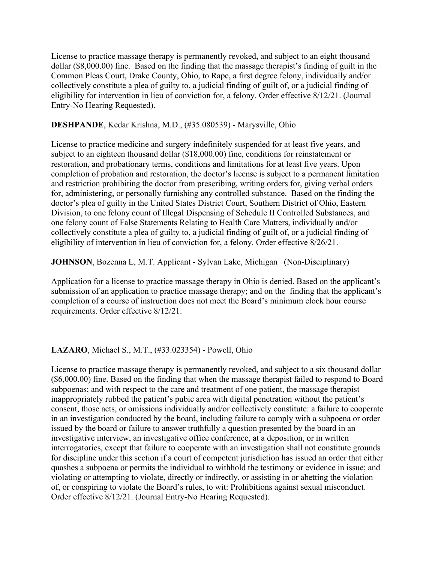License to practice massage therapy is permanently revoked, and subject to an eight thousand dollar (\$8,000.00) fine. Based on the finding that the massage therapist's finding of guilt in the Common Pleas Court, Drake County, Ohio, to Rape, a first degree felony, individually and/or collectively constitute a plea of guilty to, a judicial finding of guilt of, or a judicial finding of eligibility for intervention in lieu of conviction for, a felony. Order effective 8/12/21. (Journal Entry-No Hearing Requested).

#### **DESHPANDE**, Kedar Krishna, M.D., (#35.080539) - Marysville, Ohio

License to practice medicine and surgery indefinitely suspended for at least five years, and subject to an eighteen thousand dollar (\$18,000.00) fine, conditions for reinstatement or restoration, and probationary terms, conditions and limitations for at least five years. Upon completion of probation and restoration, the doctor's license is subject to a permanent limitation and restriction prohibiting the doctor from prescribing, writing orders for, giving verbal orders for, administering, or personally furnishing any controlled substance. Based on the finding the doctor's plea of guilty in the United States District Court, Southern District of Ohio, Eastern Division, to one felony count of Illegal Dispensing of Schedule II Controlled Substances, and one felony count of False Statements Relating to Health Care Matters, individually and/or collectively constitute a plea of guilty to, a judicial finding of guilt of, or a judicial finding of eligibility of intervention in lieu of conviction for, a felony. Order effective 8/26/21.

#### **JOHNSON**, Bozenna L, M.T. Applicant - Sylvan Lake, Michigan (Non-Disciplinary)

Application for a license to practice massage therapy in Ohio is denied. Based on the applicant's submission of an application to practice massage therapy; and on the finding that the applicant's completion of a course of instruction does not meet the Board's minimum clock hour course requirements. Order effective 8/12/21.

#### **LAZARO**, Michael S., M.T., (#33.023354) - Powell, Ohio

License to practice massage therapy is permanently revoked, and subject to a six thousand dollar (\$6,000.00) fine. Based on the finding that when the massage therapist failed to respond to Board subpoenas; and with respect to the care and treatment of one patient, the massage therapist inappropriately rubbed the patient's pubic area with digital penetration without the patient's consent, those acts, or omissions individually and/or collectively constitute: a failure to cooperate in an investigation conducted by the board, including failure to comply with a subpoena or order issued by the board or failure to answer truthfully a question presented by the board in an investigative interview, an investigative office conference, at a deposition, or in written interrogatories, except that failure to cooperate with an investigation shall not constitute grounds for discipline under this section if a court of competent jurisdiction has issued an order that either quashes a subpoena or permits the individual to withhold the testimony or evidence in issue; and violating or attempting to violate, directly or indirectly, or assisting in or abetting the violation of, or conspiring to violate the Board's rules, to wit: Prohibitions against sexual misconduct. Order effective 8/12/21. (Journal Entry-No Hearing Requested).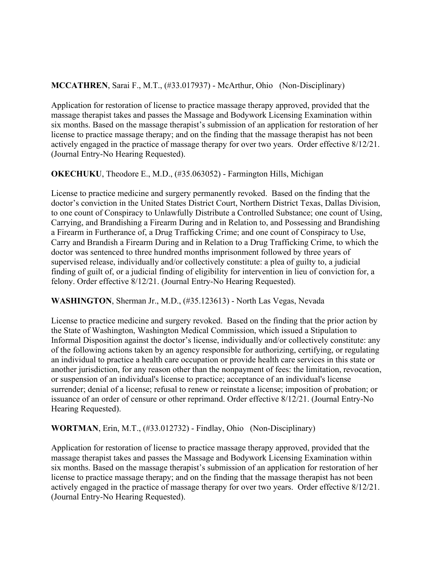## **MCCATHREN**, Sarai F., M.T., (#33.017937) - McArthur, Ohio (Non-Disciplinary)

Application for restoration of license to practice massage therapy approved, provided that the massage therapist takes and passes the Massage and Bodywork Licensing Examination within six months. Based on the massage therapist's submission of an application for restoration of her license to practice massage therapy; and on the finding that the massage therapist has not been actively engaged in the practice of massage therapy for over two years. Order effective 8/12/21. (Journal Entry-No Hearing Requested).

## **OKECHUKU**, Theodore E., M.D., (#35.063052) - Farmington Hills, Michigan

License to practice medicine and surgery permanently revoked. Based on the finding that the doctor's conviction in the United States District Court, Northern District Texas, Dallas Division, to one count of Conspiracy to Unlawfully Distribute a Controlled Substance; one count of Using, Carrying, and Brandishing a Firearm During and in Relation to, and Possessing and Brandishing a Firearm in Furtherance of, a Drug Trafficking Crime; and one count of Conspiracy to Use, Carry and Brandish a Firearm During and in Relation to a Drug Trafficking Crime, to which the doctor was sentenced to three hundred months imprisonment followed by three years of supervised release, individually and/or collectively constitute: a plea of guilty to, a judicial finding of guilt of, or a judicial finding of eligibility for intervention in lieu of conviction for, a felony. Order effective 8/12/21. (Journal Entry-No Hearing Requested).

### **WASHINGTON**, Sherman Jr., M.D., (#35.123613) - North Las Vegas, Nevada

License to practice medicine and surgery revoked. Based on the finding that the prior action by the State of Washington, Washington Medical Commission, which issued a Stipulation to Informal Disposition against the doctor's license, individually and/or collectively constitute: any of the following actions taken by an agency responsible for authorizing, certifying, or regulating an individual to practice a health care occupation or provide health care services in this state or another jurisdiction, for any reason other than the nonpayment of fees: the limitation, revocation, or suspension of an individual's license to practice; acceptance of an individual's license surrender; denial of a license; refusal to renew or reinstate a license; imposition of probation; or issuance of an order of censure or other reprimand. Order effective 8/12/21. (Journal Entry-No Hearing Requested).

### **WORTMAN**, Erin, M.T., (#33.012732) - Findlay, Ohio (Non-Disciplinary)

Application for restoration of license to practice massage therapy approved, provided that the massage therapist takes and passes the Massage and Bodywork Licensing Examination within six months. Based on the massage therapist's submission of an application for restoration of her license to practice massage therapy; and on the finding that the massage therapist has not been actively engaged in the practice of massage therapy for over two years. Order effective 8/12/21. (Journal Entry-No Hearing Requested).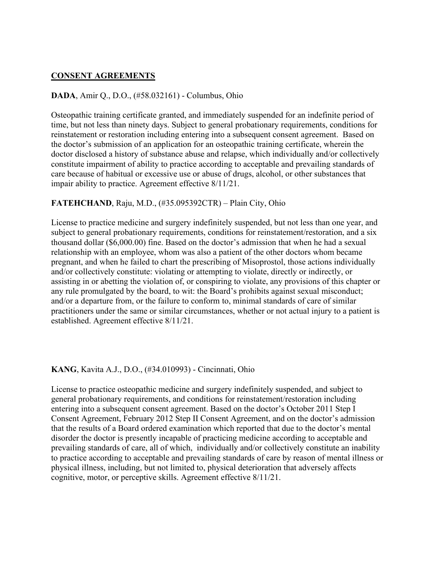### **CONSENT AGREEMENTS**

#### **DADA**, Amir Q., D.O., (#58.032161) - Columbus, Ohio

Osteopathic training certificate granted, and immediately suspended for an indefinite period of time, but not less than ninety days. Subject to general probationary requirements, conditions for reinstatement or restoration including entering into a subsequent consent agreement. Based on the doctor's submission of an application for an osteopathic training certificate, wherein the doctor disclosed a history of substance abuse and relapse, which individually and/or collectively constitute impairment of ability to practice according to acceptable and prevailing standards of care because of habitual or excessive use or abuse of drugs, alcohol, or other substances that impair ability to practice. Agreement effective 8/11/21.

### **FATEHCHAND**, Raju, M.D., (#35.095392CTR) – Plain City, Ohio

License to practice medicine and surgery indefinitely suspended, but not less than one year, and subject to general probationary requirements, conditions for reinstatement/restoration, and a six thousand dollar (\$6,000.00) fine. Based on the doctor's admission that when he had a sexual relationship with an employee, whom was also a patient of the other doctors whom became pregnant, and when he failed to chart the prescribing of Misoprostol, those actions individually and/or collectively constitute: violating or attempting to violate, directly or indirectly, or assisting in or abetting the violation of, or conspiring to violate, any provisions of this chapter or any rule promulgated by the board, to wit: the Board's prohibits against sexual misconduct; and/or a departure from, or the failure to conform to, minimal standards of care of similar practitioners under the same or similar circumstances, whether or not actual injury to a patient is established. Agreement effective 8/11/21.

#### **KANG**, Kavita A.J., D.O., (#34.010993) - Cincinnati, Ohio

License to practice osteopathic medicine and surgery indefinitely suspended, and subject to general probationary requirements, and conditions for reinstatement/restoration including entering into a subsequent consent agreement. Based on the doctor's October 2011 Step I Consent Agreement, February 2012 Step II Consent Agreement, and on the doctor's admission that the results of a Board ordered examination which reported that due to the doctor's mental disorder the doctor is presently incapable of practicing medicine according to acceptable and prevailing standards of care, all of which, individually and/or collectively constitute an inability to practice according to acceptable and prevailing standards of care by reason of mental illness or physical illness, including, but not limited to, physical deterioration that adversely affects cognitive, motor, or perceptive skills. Agreement effective 8/11/21.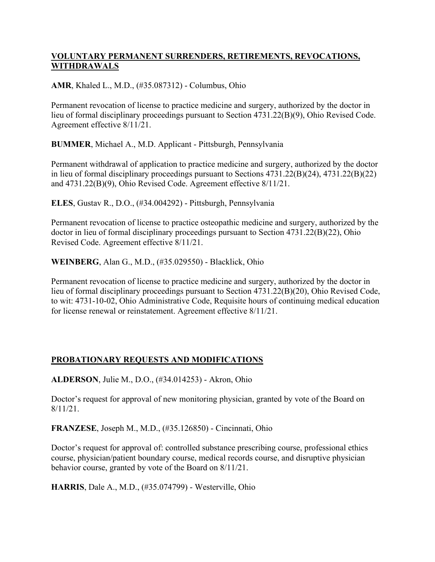## **VOLUNTARY PERMANENT SURRENDERS, RETIREMENTS, REVOCATIONS, WITHDRAWALS**

**AMR**, Khaled L., M.D., (#35.087312) - Columbus, Ohio

Permanent revocation of license to practice medicine and surgery, authorized by the doctor in lieu of formal disciplinary proceedings pursuant to Section 4731.22(B)(9), Ohio Revised Code. Agreement effective 8/11/21.

**BUMMER**, Michael A., M.D. Applicant - Pittsburgh, Pennsylvania

Permanent withdrawal of application to practice medicine and surgery, authorized by the doctor in lieu of formal disciplinary proceedings pursuant to Sections 4731.22(B)(24), 4731.22(B)(22) and 4731.22(B)(9), Ohio Revised Code. Agreement effective 8/11/21.

**ELES**, Gustav R., D.O., (#34.004292) - Pittsburgh, Pennsylvania

Permanent revocation of license to practice osteopathic medicine and surgery, authorized by the doctor in lieu of formal disciplinary proceedings pursuant to Section 4731.22(B)(22), Ohio Revised Code. Agreement effective 8/11/21.

**WEINBERG**, Alan G., M.D., (#35.029550) - Blacklick, Ohio

Permanent revocation of license to practice medicine and surgery, authorized by the doctor in lieu of formal disciplinary proceedings pursuant to Section 4731.22(B)(20), Ohio Revised Code, to wit: 4731-10-02, Ohio Administrative Code, Requisite hours of continuing medical education for license renewal or reinstatement. Agreement effective 8/11/21.

# **PROBATIONARY REQUESTS AND MODIFICATIONS**

**ALDERSON**, Julie M., D.O., (#34.014253) - Akron, Ohio

Doctor's request for approval of new monitoring physician, granted by vote of the Board on 8/11/21.

**FRANZESE**, Joseph M., M.D., (#35.126850) - Cincinnati, Ohio

Doctor's request for approval of: controlled substance prescribing course, professional ethics course, physician/patient boundary course, medical records course, and disruptive physician behavior course, granted by vote of the Board on 8/11/21.

**HARRIS**, Dale A., M.D., (#35.074799) - Westerville, Ohio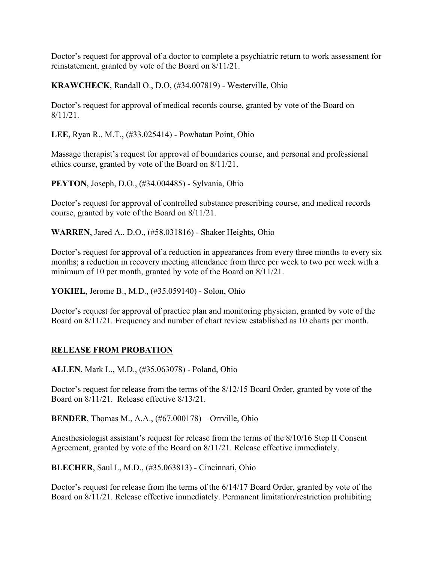Doctor's request for approval of a doctor to complete a psychiatric return to work assessment for reinstatement, granted by vote of the Board on 8/11/21.

**KRAWCHECK**, Randall O., D.O, (#34.007819) - Westerville, Ohio

Doctor's request for approval of medical records course, granted by vote of the Board on 8/11/21.

**LEE**, Ryan R., M.T., (#33.025414) - Powhatan Point, Ohio

Massage therapist's request for approval of boundaries course, and personal and professional ethics course, granted by vote of the Board on 8/11/21.

**PEYTON**, Joseph, D.O., (#34.004485) - Sylvania, Ohio

Doctor's request for approval of controlled substance prescribing course, and medical records course, granted by vote of the Board on 8/11/21.

**WARREN**, Jared A., D.O., (#58.031816) - Shaker Heights, Ohio

Doctor's request for approval of a reduction in appearances from every three months to every six months; a reduction in recovery meeting attendance from three per week to two per week with a minimum of 10 per month, granted by vote of the Board on 8/11/21.

**YOKIEL**, Jerome B., M.D., (#35.059140) - Solon, Ohio

Doctor's request for approval of practice plan and monitoring physician, granted by vote of the Board on 8/11/21. Frequency and number of chart review established as 10 charts per month.

# **RELEASE FROM PROBATION**

**ALLEN**, Mark L., M.D., (#35.063078) - Poland, Ohio

Doctor's request for release from the terms of the 8/12/15 Board Order, granted by vote of the Board on 8/11/21. Release effective 8/13/21.

**BENDER**, Thomas M., A.A., (#67.000178) – Orrville, Ohio

Anesthesiologist assistant's request for release from the terms of the 8/10/16 Step II Consent Agreement, granted by vote of the Board on 8/11/21. Release effective immediately.

**BLECHER**, Saul I., M.D., (#35.063813) - Cincinnati, Ohio

Doctor's request for release from the terms of the 6/14/17 Board Order, granted by vote of the Board on 8/11/21. Release effective immediately. Permanent limitation/restriction prohibiting